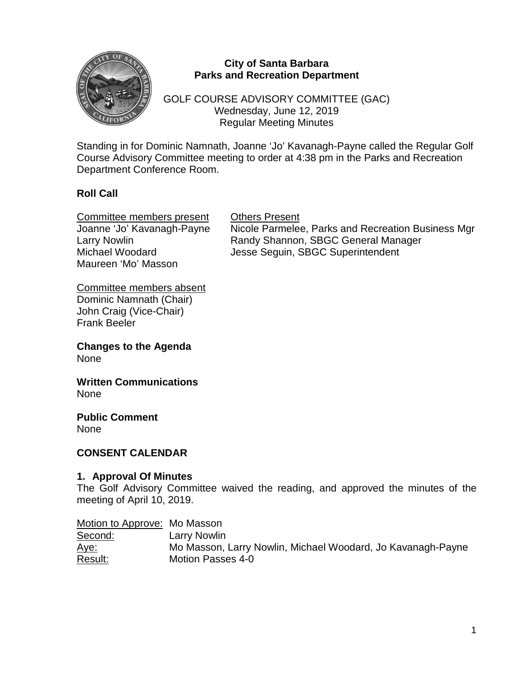

## **City of Santa Barbara Parks and Recreation Department**

GOLF COURSE ADVISORY COMMITTEE (GAC) Wednesday, June 12, 2019 Regular Meeting Minutes

Standing in for Dominic Namnath, Joanne 'Jo' Kavanagh-Payne called the Regular Golf Course Advisory Committee meeting to order at 4:38 pm in the Parks and Recreation Department Conference Room.

# **Roll Call**

Committee members present Others Present Maureen 'Mo' Masson

Joanne 'Jo' Kavanagh-Payne Nicole Parmelee, Parks and Recreation Business Mgr Larry Nowlin **Nandy Shannon, SBGC General Manager** Michael Woodard **Jesse Seguin, SBGC Superintendent** 

Committee members absent Dominic Namnath (Chair) John Craig (Vice-Chair) Frank Beeler

**Changes to the Agenda** None

**Written Communications** None

**Public Comment** None

## **CONSENT CALENDAR**

## **1. Approval Of Minutes**

The Golf Advisory Committee waived the reading, and approved the minutes of the meeting of April 10, 2019.

| Motion to Approve: Mo Masson |                                                             |
|------------------------------|-------------------------------------------------------------|
| Second:                      | Larry Nowlin                                                |
| <u> Aye:</u>                 | Mo Masson, Larry Nowlin, Michael Woodard, Jo Kavanagh-Payne |
| Result:                      | Motion Passes 4-0                                           |